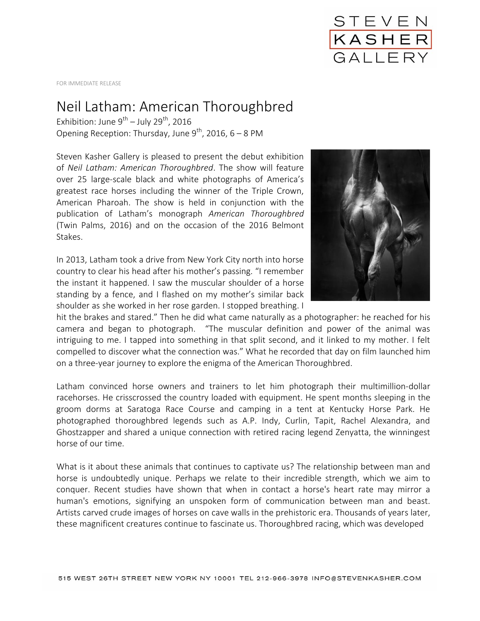

FOR IMMEDIATE RELEASE

## Neil Latham: American Thoroughbred

Exhibition: June 9 $^{\text{th}}$  – July 29 $^{\text{th}}$ , 2016 Opening Reception: Thursday, June  $9^{th}$ , 2016, 6 – 8 PM

Steven Kasher Gallery is pleased to present the debut exhibition of *Neil Latham: American Thoroughbred*. The show will feature over 25 large-scale black and white photographs of America's greatest race horses including the winner of the Triple Crown, American Pharoah. The show is held in conjunction with the publication of Latham's monograph *American Thoroughbred* (Twin Palms, 2016) and on the occasion of the 2016 Belmont Stakes.

In 2013, Latham took a drive from New York City north into horse country to clear his head after his mother's passing. "I remember the instant it happened. I saw the muscular shoulder of a horse standing by a fence, and I flashed on my mother's similar back shoulder as she worked in her rose garden. I stopped breathing. I



hit the brakes and stared." Then he did what came naturally as a photographer: he reached for his camera and began to photograph. "The muscular definition and power of the animal was intriguing to me. I tapped into something in that split second, and it linked to my mother. I felt compelled to discover what the connection was." What he recorded that day on film launched him on a three-year journey to explore the enigma of the American Thoroughbred.

Latham convinced horse owners and trainers to let him photograph their multimillion-dollar racehorses. He crisscrossed the country loaded with equipment. He spent months sleeping in the groom dorms at Saratoga Race Course and camping in a tent at Kentucky Horse Park. He photographed thoroughbred legends such as A.P. Indy, Curlin, Tapit, Rachel Alexandra, and Ghostzapper and shared a unique connection with retired racing legend Zenyatta, the winningest horse of our time.

What is it about these animals that continues to captivate us? The relationship between man and horse is undoubtedly unique. Perhaps we relate to their incredible strength, which we aim to conquer. Recent studies have shown that when in contact a horse's heart rate may mirror a human's emotions, signifying an unspoken form of communication between man and beast. Artists carved crude images of horses on cave walls in the prehistoric era. Thousands of years later, these magnificent creatures continue to fascinate us. Thoroughbred racing, which was developed